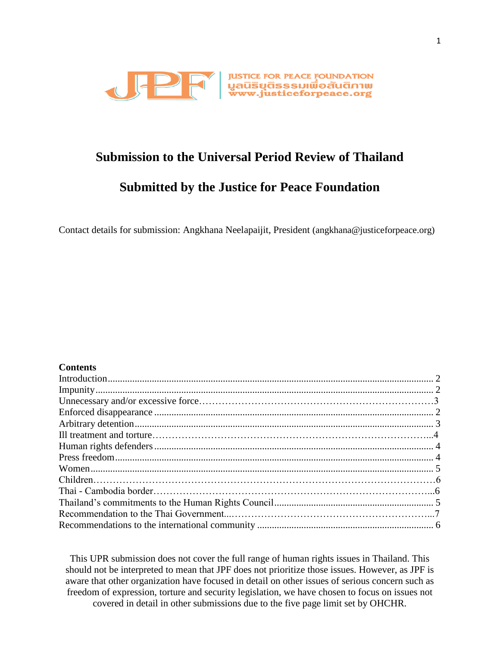

# **Submission to the Universal Period Review of Thailand**

# **Submitted by the Justice for Peace Foundation**

Contact details for submission: Angkhana Neelapaijit, President (angkhana@justiceforpeace.org)

### **Contents**

This UPR submission does not cover the full range of human rights issues in Thailand. This should not be interpreted to mean that JPF does not prioritize those issues. However, as JPF is aware that other organization have focused in detail on other issues of serious concern such as freedom of expression, torture and security legislation, we have chosen to focus on issues not covered in detail in other submissions due to the five page limit set by OHCHR.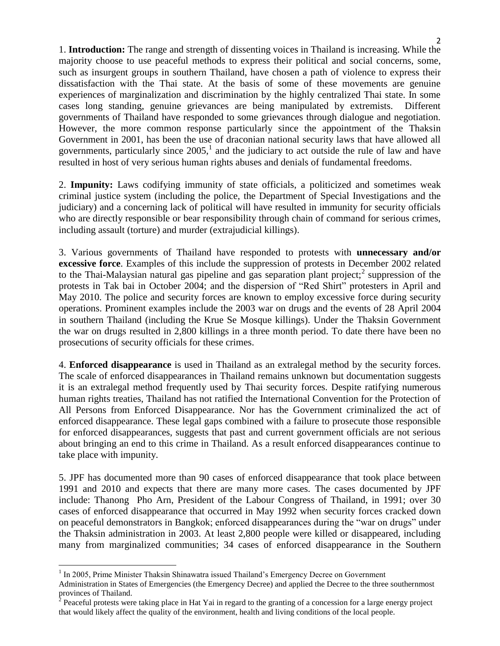<span id="page-1-0"></span>1. **Introduction:** The range and strength of dissenting voices in Thailand is increasing. While the majority choose to use peaceful methods to express their political and social concerns, some, such as insurgent groups in southern Thailand, have chosen a path of violence to express their dissatisfaction with the Thai state. At the basis of some of these movements are genuine experiences of marginalization and discrimination by the highly centralized Thai state. In some cases long standing, genuine grievances are being manipulated by extremists. Different governments of Thailand have responded to some grievances through dialogue and negotiation. However, the more common response particularly since the appointment of the Thaksin Government in 2001, has been the use of draconian national security laws that have allowed all governments, particularly since  $2005<sup>1</sup>$ , and the judiciary to act outside the rule of law and have resulted in host of very serious human rights abuses and denials of fundamental freedoms.

<span id="page-1-1"></span>2. **Impunity:** Laws codifying immunity of state officials, a politicized and sometimes weak criminal justice system (including the police, the Department of Special Investigations and the judiciary) and a concerning lack of political will have resulted in immunity for security officials who are directly responsible or bear responsibility through chain of command for serious crimes, including assault (torture) and murder (extrajudicial killings).

3. Various governments of Thailand have responded to protests with **unnecessary and/or excessive force**. Examples of this include the suppression of protests in December 2002 related to the Thai-Malaysian natural gas pipeline and gas separation plant project;<sup>2</sup> suppression of the protests in Tak bai in October 2004; and the dispersion of "Red Shirt" protesters in April and May 2010. The police and security forces are known to employ excessive force during security operations. Prominent examples include the 2003 war on drugs and the events of 28 April 2004 in southern Thailand (including the Krue Se Mosque killings). Under the Thaksin Government the war on drugs resulted in 2,800 killings in a three month period. To date there have been no prosecutions of security officials for these crimes.

<span id="page-1-2"></span>4. **Enforced disappearance** is used in Thailand as an extralegal method by the security forces. The scale of enforced disappearances in Thailand remains unknown but documentation suggests it is an extralegal method frequently used by Thai security forces. Despite ratifying numerous human rights treaties, Thailand has not ratified the International Convention for the Protection of All Persons from Enforced Disappearance. Nor has the Government criminalized the act of enforced disappearance. These legal gaps combined with a failure to prosecute those responsible for enforced disappearances, suggests that past and current government officials are not serious about bringing an end to this crime in Thailand. As a result enforced disappearances continue to take place with impunity.

5. JPF has documented more than 90 cases of enforced disappearance that took place between 1991 and 2010 and expects that there are many more cases. The cases documented by JPF include: Thanong Pho Arn, President of the Labour Congress of Thailand, in 1991; over 30 cases of enforced disappearance that occurred in May 1992 when security forces cracked down on peaceful demonstrators in Bangkok; enforced disappearances during the "war on drugs" under the Thaksin administration in 2003. At least 2,800 people were killed or disappeared, including many from marginalized communities; 34 cases of enforced disappearance in the Southern

 $\overline{a}$ <sup>1</sup> In 2005, Prime Minister Thaksin Shinawatra issued Thailand's Emergency Decree on Government

Administration in States of Emergencies (the Emergency Decree) and applied the Decree to the three southernmost provinces of Thailand.<br><sup>2</sup> Peaceful protests were taking place in Hat Yai in regard to the granting of a concession for a large energy project

that would likely affect the quality of the environment, health and living conditions of the local people.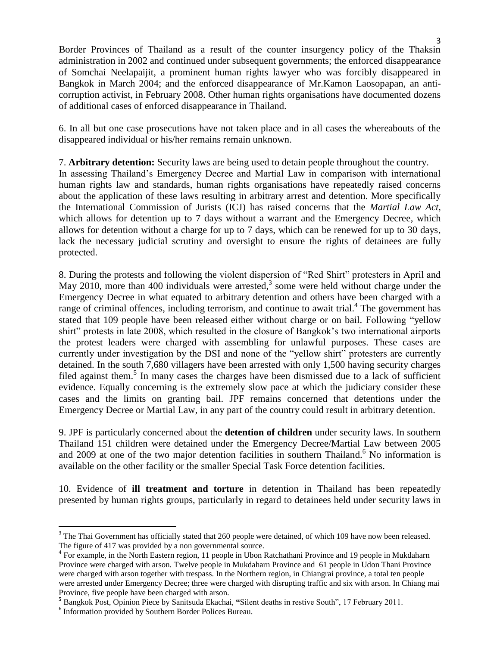Border Provinces of Thailand as a result of the counter insurgency policy of the Thaksin administration in 2002 and continued under subsequent governments; the enforced disappearance of Somchai Neelapaijit, a prominent human rights lawyer who was forcibly disappeared in Bangkok in March 2004; and the enforced disappearance of Mr.Kamon Laosopapan, an anticorruption activist, in February 2008. Other human rights organisations have documented dozens of additional cases of enforced disappearance in Thailand.

6. In all but one case prosecutions have not taken place and in all cases the whereabouts of the disappeared individual or his/her remains remain unknown.

## <span id="page-2-0"></span>7. **Arbitrary detention:** Security laws are being used to detain people throughout the country.

In assessing Thailand's Emergency Decree and Martial Law in comparison with international human rights law and standards, human rights organisations have repeatedly raised concerns about the application of these laws resulting in arbitrary arrest and detention. More specifically the International Commission of Jurists (ICJ) has raised concerns that the *Martial Law Act,*  which allows for detention up to 7 days without a warrant and the Emergency Decree, which allows for detention without a charge for up to 7 days, which can be renewed for up to 30 days, lack the necessary judicial scrutiny and oversight to ensure the rights of detainees are fully protected.

8. During the protests and following the violent dispersion of "Red Shirt" protesters in April and May 2010, more than 400 individuals were arrested, $3$  some were held without charge under the Emergency Decree in what equated to arbitrary detention and others have been charged with a range of criminal offences, including terrorism, and continue to await trial.<sup>4</sup> The government has stated that 109 people have been released either without charge or on bail. Following "yellow shirt" protests in late 2008, which resulted in the closure of Bangkok's two international airports the protest leaders were charged with assembling for unlawful purposes. These cases are currently under investigation by the DSI and none of the "yellow shirt" protesters are currently detained. In the south 7,680 villagers have been arrested with only 1,500 having security charges filed against them.<sup>5</sup> In many cases the charges have been dismissed due to a lack of sufficient evidence. Equally concerning is the extremely slow pace at which the judiciary consider these cases and the limits on granting bail. JPF remains concerned that detentions under the Emergency Decree or Martial Law, in any part of the country could result in arbitrary detention.

9. JPF is particularly concerned about the **detention of children** under security laws. In southern Thailand 151 children were detained under the Emergency Decree/Martial Law between 2005 and 2009 at one of the two major detention facilities in southern Thailand.<sup>6</sup> No information is available on the other facility or the smaller Special Task Force detention facilities.

10. Evidence of **ill treatment and torture** in detention in Thailand has been repeatedly presented by human rights groups, particularly in regard to detainees held under security laws in

 $\overline{\phantom{a}}$ 

<sup>&</sup>lt;sup>3</sup> The Thai Government has officially stated that 260 people were detained, of which 109 have now been released. The figure of 417 was provided by a non governmental source.

<sup>&</sup>lt;sup>4</sup> For example, in the North Eastern region, 11 people in Ubon Ratchathani Province and 19 people in Mukdaharn Province were charged with arson. Twelve people in Mukdaharn Province and 61 people in Udon Thani Province were charged with arson together with trespass. In the Northern region, in Chiangrai province, a total ten people were arrested under Emergency Decree; three were charged with disrupting traffic and six with arson. In Chiang mai Province, five people have been charged with arson.

**<sup>5</sup>** Bangkok Post, Opinion Piece by Sanitsuda Ekachai, **"**Silent deaths in restive South", 17 February 2011.

<sup>6</sup> Information provided by Southern Border Polices Bureau.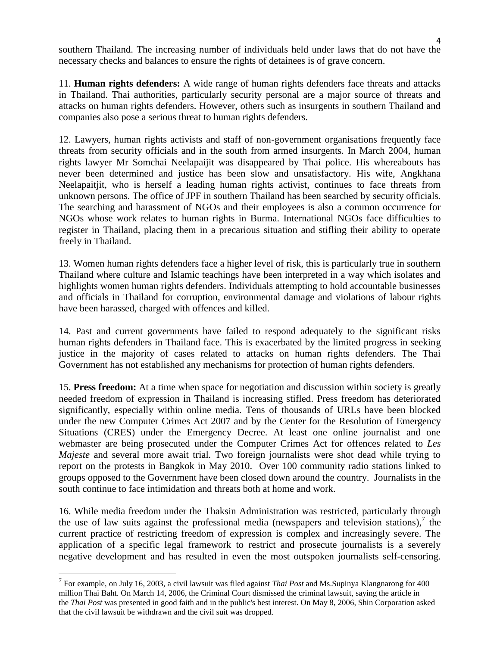4 southern Thailand. The increasing number of individuals held under laws that do not have the necessary checks and balances to ensure the rights of detainees is of grave concern.

<span id="page-3-0"></span>11. **Human rights defenders:** A wide range of human rights defenders face threats and attacks in Thailand. Thai authorities, particularly security personal are a major source of threats and attacks on human rights defenders. However, others such as insurgents in southern Thailand and companies also pose a serious threat to human rights defenders.

12. Lawyers, human rights activists and staff of non-government organisations frequently face threats from security officials and in the south from armed insurgents. In March 2004, human rights lawyer Mr Somchai Neelapaijit was disappeared by Thai police. His whereabouts has never been determined and justice has been slow and unsatisfactory. His wife, Angkhana Neelapaitjit, who is herself a leading human rights activist, continues to face threats from unknown persons. The office of JPF in southern Thailand has been searched by security officials. The searching and harassment of NGOs and their employees is also a common occurrence for NGOs whose work relates to human rights in Burma. International NGOs face difficulties to register in Thailand, placing them in a precarious situation and stifling their ability to operate freely in Thailand.

13. Women human rights defenders face a higher level of risk, this is particularly true in southern Thailand where culture and Islamic teachings have been interpreted in a way which isolates and highlights women human rights defenders. Individuals attempting to hold accountable businesses and officials in Thailand for corruption, environmental damage and violations of labour rights have been harassed, charged with offences and killed.

14. Past and current governments have failed to respond adequately to the significant risks human rights defenders in Thailand face. This is exacerbated by the limited progress in seeking justice in the majority of cases related to attacks on human rights defenders. The Thai Government has not established any mechanisms for protection of human rights defenders.

<span id="page-3-1"></span>15. **Press freedom:** At a time when space for negotiation and discussion within society is greatly needed freedom of expression in Thailand is increasing stifled. Press freedom has deteriorated significantly, especially within online media. Tens of thousands of URLs have been blocked under the new Computer Crimes Act 2007 and by the Center for the Resolution of Emergency Situations (CRES) under the Emergency Decree. At least one online journalist and one webmaster are being prosecuted under the Computer Crimes Act for offences related to *Les Majeste* and several more await trial*.* Two foreign journalists were shot dead while trying to report on the protests in Bangkok in May 2010. Over 100 community radio stations linked to groups opposed to the Government have been closed down around the country. Journalists in the south continue to face intimidation and threats both at home and work.

16. While media freedom under the Thaksin Administration was restricted, particularly through the use of law suits against the professional media (newspapers and television stations),  $\overline{I}$  the current practice of restricting freedom of expression is complex and increasingly severe. The application of a specific legal framework to restrict and prosecute journalists is a severely negative development and has resulted in even the most outspoken journalists self-censoring.

 $\overline{\phantom{a}}$ 

<sup>7</sup> For example, on July 16, 2003, a civil lawsuit was filed against *Thai Post* and Ms.Supinya Klangnarong for 400 million Thai Baht. On March 14, 2006, the Criminal Court dismissed the criminal lawsuit, saying the article in the *Thai Post* was presented in good faith and in the public's best interest. On May 8, 2006, Shin Corporation asked that the civil lawsuit be withdrawn and the civil suit was dropped.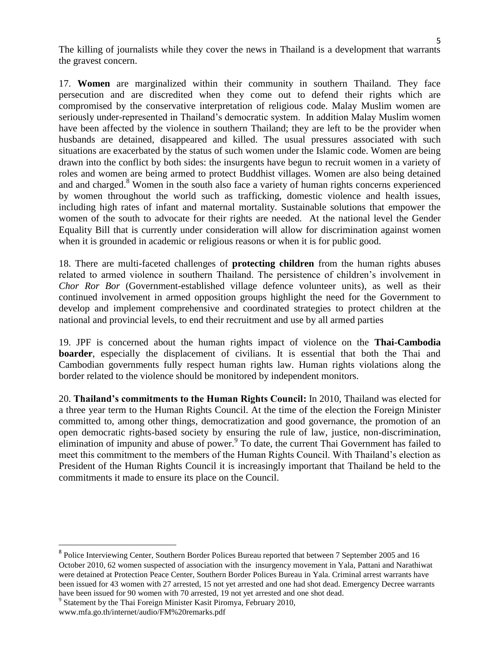The killing of journalists while they cover the news in Thailand is a development that warrants the gravest concern.

<span id="page-4-0"></span>17. **Women** are marginalized within their community in southern Thailand. They face persecution and are discredited when they come out to defend their rights which are compromised by the conservative interpretation of religious code. Malay Muslim women are seriously under-represented in Thailand's democratic system. In addition Malay Muslim women have been affected by the violence in southern Thailand; they are left to be the provider when husbands are detained, disappeared and killed. The usual pressures associated with such situations are exacerbated by the status of such women under the Islamic code. Women are being drawn into the conflict by both sides: the insurgents have begun to recruit women in a variety of roles and women are being armed to protect Buddhist villages. Women are also being detained and and charged.<sup>8</sup> Women in the south also face a variety of human rights concerns experienced by women throughout the world such as trafficking, domestic violence and health issues, including high rates of infant and maternal mortality. Sustainable solutions that empower the women of the south to advocate for their rights are needed. At the national level the Gender Equality Bill that is currently under consideration will allow for discrimination against women when it is grounded in academic or religious reasons or when it is for public good.

18. There are multi-faceted challenges of **protecting children** from the human rights abuses related to armed violence in southern Thailand. The persistence of children's involvement in *Chor Ror Bor* (Government-established village defence volunteer units), as well as their continued involvement in armed opposition groups highlight the need for the Government to develop and implement comprehensive and coordinated strategies to protect children at the national and provincial levels, to end their recruitment and use by all armed parties

19. JPF is concerned about the human rights impact of violence on the **Thai-Cambodia boarder**, especially the displacement of civilians. It is essential that both the Thai and Cambodian governments fully respect human rights law. Human rights violations along the border related to the violence should be monitored by independent monitors.

<span id="page-4-1"></span>20. **Thailand's commitments to the Human Rights Council:** In 2010, Thailand was elected for a three year term to the Human Rights Council. At the time of the election the Foreign Minister committed to, among other things, democratization and good governance, the promotion of an open democratic rights-based society by ensuring the rule of law, justice, non-discrimination, elimination of impunity and abuse of power.<sup>9</sup> To date, the current Thai Government has failed to meet this commitment to the members of the Human Rights Council. With Thailand's election as President of the Human Rights Council it is increasingly important that Thailand be held to the commitments it made to ensure its place on the Council.

 $\overline{\phantom{a}}$ 

<sup>&</sup>lt;sup>8</sup> Police Interviewing Center, Southern Border Polices Bureau reported that between 7 September 2005 and 16 October 2010, 62 women suspected of association with the insurgency movement in Yala, Pattani and Narathiwat were detained at Protection Peace Center, Southern Border Polices Bureau in Yala. Criminal arrest warrants have been issued for 43 women with 27 arrested, 15 not yet arrested and one had shot dead. Emergency Decree warrants have been issued for 90 women with 70 arrested, 19 not yet arrested and one shot dead.

<sup>&</sup>lt;sup>9</sup> Statement by the Thai Foreign Minister Kasit Piromya, February 2010,

www.mfa.go.th/internet/audio/FM%20remarks.pdf